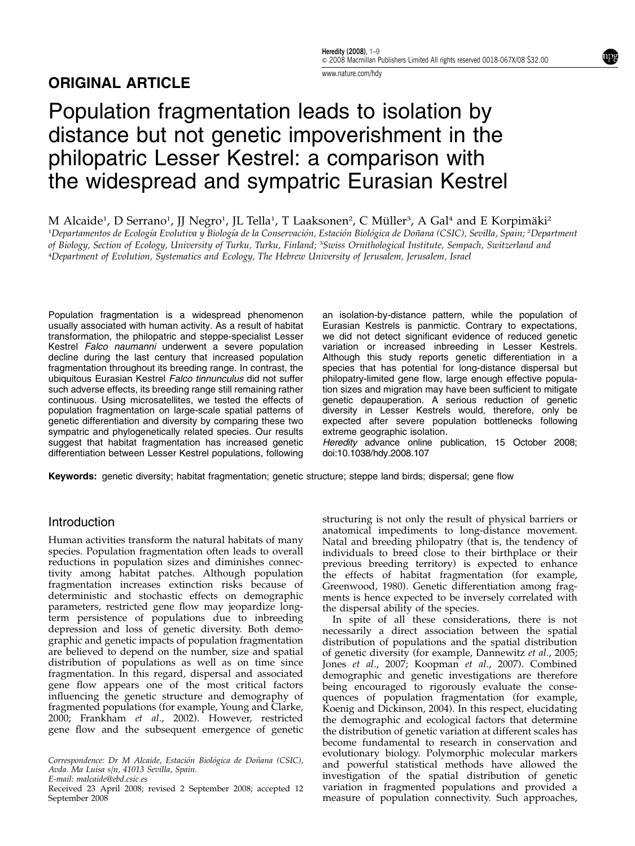## ORIGINAL ARTICLE

npg

www.nature.com/hdy

# Population fragmentation leads to isolation by distance but not genetic impoverishment in the philopatric Lesser Kestrel: a comparison with the widespread and sympatric Eurasian Kestrel

M Alcaide<sup>1</sup>, D Serrano<sup>1</sup>, JJ Negro<sup>1</sup>, JL Tella<sup>1</sup>, T Laaksonen<sup>2</sup>, C Müller<sup>3</sup>, A Gal<sup>4</sup> and E Korpimäki<sup>2</sup>

'Departamentos de Ecología Evolutiva y Biología de la Conservación, Estación Biológica de Doñana (CSIC), Sevilla, Spain; <del>'</del>Department of Biology, Section of Ecology, University of Turku, Turku, Finland; <sup>3</sup>Swiss Ornithological Institute, Sempach, Switzerland and 4 Department of Evolution, Systematics and Ecology, The Hebrew University of Jerusalem, Jerusalem, Israel

Population fragmentation is a widespread phenomenon usually associated with human activity. As a result of habitat transformation, the philopatric and steppe-specialist Lesser Kestrel Falco naumanni underwent a severe population decline during the last century that increased population fragmentation throughout its breeding range. In contrast, the ubiquitous Eurasian Kestrel Falco tinnunculus did not suffer such adverse effects, its breeding range still remaining rather continuous. Using microsatellites, we tested the effects of population fragmentation on large-scale spatial patterns of genetic differentiation and diversity by comparing these two sympatric and phylogenetically related species. Our results suggest that habitat fragmentation has increased genetic differentiation between Lesser Kestrel populations, following

an isolation-by-distance pattern, while the population of Eurasian Kestrels is panmictic. Contrary to expectations, we did not detect significant evidence of reduced genetic variation or increased inbreeding in Lesser Kestrels. Although this study reports genetic differentiation in a species that has potential for long-distance dispersal but philopatry-limited gene flow, large enough effective population sizes and migration may have been sufficient to mitigate genetic depauperation. A serious reduction of genetic diversity in Lesser Kestrels would, therefore, only be expected after severe population bottlenecks following extreme geographic isolation.

Heredity advance online publication, 15 October 2008; doi:10.1038/hdy.2008.107

Keywords: genetic diversity; habitat fragmentation; genetic structure; steppe land birds; dispersal; gene flow

## Introduction

Human activities transform the natural habitats of many species. Population fragmentation often leads to overall reductions in population sizes and diminishes connectivity among habitat patches. Although population fragmentation increases extinction risks because of deterministic and stochastic effects on demographic parameters, restricted gene flow may jeopardize longterm persistence of populations due to inbreeding depression and loss of genetic diversity. Both demographic and genetic impacts of population fragmentation are believed to depend on the number, size and spatial distribution of populations as well as on time since fragmentation. In this regard, dispersal and associated gene flow appears one of the most critical factors influencing the genetic structure and demography of fragmented populations (for example, Young and Clarke, 2000; Frankham et al., 2002). However, restricted gene flow and the subsequent emergence of genetic

Correspondence: Dr M Alcaide, Estación Biológica de Doñana (CSIC), Avda. Ma Luisa s/n, 41013 Sevilla, Spain.

E-mail: malcaide@ebd.csic.es

structuring is not only the result of physical barriers or anatomical impediments to long-distance movement. Natal and breeding philopatry (that is, the tendency of individuals to breed close to their birthplace or their previous breeding territory) is expected to enhance the effects of habitat fragmentation (for example, Greenwood, 1980). Genetic differentiation among fragments is hence expected to be inversely correlated with the dispersal ability of the species.

In spite of all these considerations, there is not necessarily a direct association between the spatial distribution of populations and the spatial distribution of genetic diversity (for example, Dannewitz et al., 2005; Jones et al., 2007; Koopman et al., 2007). Combined demographic and genetic investigations are therefore being encouraged to rigorously evaluate the consequences of population fragmentation (for example, Koenig and Dickinson, 2004). In this respect, elucidating the demographic and ecological factors that determine the distribution of genetic variation at different scales has become fundamental to research in conservation and evolutionary biology. Polymorphic molecular markers and powerful statistical methods have allowed the investigation of the spatial distribution of genetic variation in fragmented populations and provided a Received 23 April 2008; revised 2 September 2008; accepted 12 variation in fragmented populations and provided a<br>September 2008 september 2008 measure of population connectivity. Such approaches,

September 2008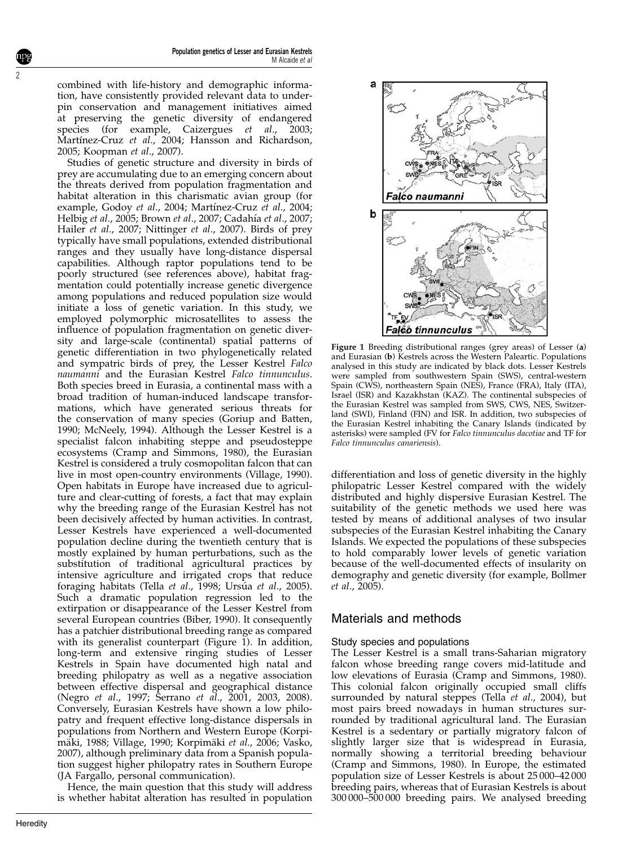combined with life-history and demographic information, have consistently provided relevant data to underpin conservation and management initiatives aimed at preserving the genetic diversity of endangered species (for example, Caizergues et al., 2003; Martínez-Cruz et al., 2004; Hansson and Richardson, 2005; Koopman et al., 2007).

Studies of genetic structure and diversity in birds of prey are accumulating due to an emerging concern about the threats derived from population fragmentation and habitat alteration in this charismatic avian group (for example, Godoy et al., 2004; Martínez-Cruz et al., 2004; Helbig et al., 2005; Brown et al., 2007; Cadahía et al., 2007; Hailer et al., 2007; Nittinger et al., 2007). Birds of prey typically have small populations, extended distributional ranges and they usually have long-distance dispersal capabilities. Although raptor populations tend to be poorly structured (see references above), habitat fragmentation could potentially increase genetic divergence among populations and reduced population size would initiate a loss of genetic variation. In this study, we employed polymorphic microsatellites to assess the influence of population fragmentation on genetic diversity and large-scale (continental) spatial patterns of genetic differentiation in two phylogenetically related and sympatric birds of prey, the Lesser Kestrel Falco naumanni and the Eurasian Kestrel Falco tinnunculus. Both species breed in Eurasia, a continental mass with a broad tradition of human-induced landscape transformations, which have generated serious threats for the conservation of many species (Goriup and Batten, 1990; McNeely, 1994). Although the Lesser Kestrel is a specialist falcon inhabiting steppe and pseudosteppe ecosystems (Cramp and Simmons, 1980), the Eurasian Kestrel is considered a truly cosmopolitan falcon that can live in most open-country environments (Village, 1990). Open habitats in Europe have increased due to agriculture and clear-cutting of forests, a fact that may explain why the breeding range of the Eurasian Kestrel has not been decisively affected by human activities. In contrast, Lesser Kestrels have experienced a well-documented population decline during the twentieth century that is mostly explained by human perturbations, such as the substitution of traditional agricultural practices by intensive agriculture and irrigated crops that reduce foraging habitats (Tella et al., 1998; Ursúa et al., 2005). Such a dramatic population regression led to the extirpation or disappearance of the Lesser Kestrel from several European countries (Biber, 1990). It consequently has a patchier distributional breeding range as compared with its generalist counterpart (Figure 1). In addition, long-term and extensive ringing studies of Lesser Kestrels in Spain have documented high natal and breeding philopatry as well as a negative association between effective dispersal and geographical distance (Negro et al., 1997; Serrano et al., 2001, 2003, 2008). Conversely, Eurasian Kestrels have shown a low philopatry and frequent effective long-distance dispersals in populations from Northern and Western Europe (Korpimäki, 1988; Village, 1990; Korpimäki et al., 2006; Vasko, 2007), although preliminary data from a Spanish population suggest higher philopatry rates in Southern Europe (JA Fargallo, personal communication).

Hence, the main question that this study will address is whether habitat alteration has resulted in population



Figure 1 Breeding distributional ranges (grey areas) of Lesser (a) and Eurasian (b) Kestrels across the Western Paleartic. Populations analysed in this study are indicated by black dots. Lesser Kestrels were sampled from southwestern Spain (SWS), central-western Spain (CWS), northeastern Spain (NES), France (FRA), Italy (ITA), Israel (ISR) and Kazakhstan (KAZ). The continental subspecies of the Eurasian Kestrel was sampled from SWS, CWS, NES, Switzerland (SWI), Finland (FIN) and ISR. In addition, two subspecies of the Eurasian Kestrel inhabiting the Canary Islands (indicated by asterisks) were sampled (FV for Falco tinnunculus dacotiae and TF for Falco tinnunculus canariensis).

differentiation and loss of genetic diversity in the highly philopatric Lesser Kestrel compared with the widely distributed and highly dispersive Eurasian Kestrel. The suitability of the genetic methods we used here was tested by means of additional analyses of two insular subspecies of the Eurasian Kestrel inhabiting the Canary Islands. We expected the populations of these subspecies to hold comparably lower levels of genetic variation because of the well-documented effects of insularity on demography and genetic diversity (for example, Bollmer et al., 2005).

## Materials and methods

#### Study species and populations

The Lesser Kestrel is a small trans-Saharian migratory falcon whose breeding range covers mid-latitude and low elevations of Eurasia (Cramp and Simmons, 1980). This colonial falcon originally occupied small cliffs surrounded by natural steppes (Tella et al., 2004), but most pairs breed nowadays in human structures surrounded by traditional agricultural land. The Eurasian Kestrel is a sedentary or partially migratory falcon of slightly larger size that is widespread in Eurasia, normally showing a territorial breeding behaviour (Cramp and Simmons, 1980). In Europe, the estimated population size of Lesser Kestrels is about 25 000–42 000 breeding pairs, whereas that of Eurasian Kestrels is about 300 000–500 000 breeding pairs. We analysed breeding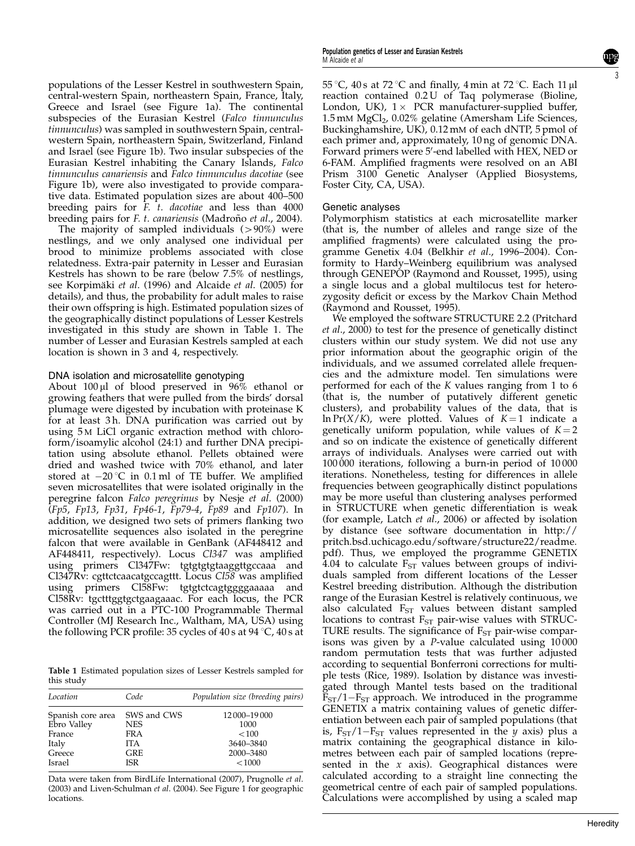populations of the Lesser Kestrel in southwestern Spain, central-western Spain, northeastern Spain, France, Italy, Greece and Israel (see Figure 1a). The continental subspecies of the Eurasian Kestrel (Falco tinnunculus tinnunculus) was sampled in southwestern Spain, centralwestern Spain, northeastern Spain, Switzerland, Finland and Israel (see Figure 1b). Two insular subspecies of the Eurasian Kestrel inhabiting the Canary Islands, Falco tinnunculus canariensis and Falco tinnunculus dacotiae (see Figure 1b), were also investigated to provide comparative data. Estimated population sizes are about 400–500 breeding pairs for F. t. dacotiae and less than 4000 breeding pairs for *F. t. canariensis* (Madroño *et al.*, 2004).

The majority of sampled individuals  $(>90%)$  were nestlings, and we only analysed one individual per brood to minimize problems associated with close relatedness. Extra-pair paternity in Lesser and Eurasian Kestrels has shown to be rare (below 7.5% of nestlings, see Korpimäki et al. (1996) and Alcaide et al. (2005) for details), and thus, the probability for adult males to raise their own offspring is high. Estimated population sizes of the geographically distinct populations of Lesser Kestrels investigated in this study are shown in Table 1. The number of Lesser and Eurasian Kestrels sampled at each location is shown in 3 and 4, respectively.

#### DNA isolation and microsatellite genotyping

About  $100 \mu l$  of blood preserved in  $96\%$  ethanol or growing feathers that were pulled from the birds' dorsal plumage were digested by incubation with proteinase K for at least 3h. DNA purification was carried out by using 5 M LiCl organic extraction method with chloroform/isoamylic alcohol (24:1) and further DNA precipitation using absolute ethanol. Pellets obtained were dried and washed twice with 70% ethanol, and later stored at  $-20$  °C in 0.1 ml of TE buffer. We amplified seven microsatellites that were isolated originally in the peregrine falcon Falco peregrinus by Nesje et al. (2000) (Fp5, Fp13, Fp31, Fp46-1, Fp79-4, Fp89 and Fp107). In addition, we designed two sets of primers flanking two microsatellite sequences also isolated in the peregrine falcon that were available in GenBank (AF448412 and AF448411, respectively). Locus Cl347 was amplified using primers Cl347Fw: tgtgtgtgtaaggttgccaaa and Cl347Rv: cgttctcaacatgccagttt. Locus Cl58 was amplified using primers Cl58Fw: tgtgtctcagtggggaaaaa and Cl58Rv: tgctttggtgctgaagaaac. For each locus, the PCR was carried out in a PTC-100 Programmable Thermal Controller (MJ Research Inc., Waltham, MA, USA) using the following PCR profile: 35 cycles of 40 s at  $94^{\circ}$ C, 40 s at

Table 1 Estimated population sizes of Lesser Kestrels sampled for this study

| Location          | Code        | Population size (breeding pairs) |
|-------------------|-------------|----------------------------------|
| Spanish core area | SWS and CWS | 12 000 - 19 000                  |
| Ebro Valley       | <b>NES</b>  | 1000                             |
| France            | <b>FRA</b>  | < 100                            |
| Italy             | <b>ITA</b>  | 3640-3840                        |
| Greece            | GRE         | 2000-3480                        |
| Israel            | <b>ISR</b>  | < 1000                           |

Data were taken from BirdLife International (2007), Prugnolle et al. (2003) and Liven-Schulman et al. (2004). See Figure 1 for geographic locations.

 $55\,^{\circ}\textrm{C}$ ,  $40\,\textrm{s}$  at  $72\,^{\circ}\textrm{C}$  and finally,  $4\,\textrm{min}$  at  $72\,^{\circ}\textrm{C}.$  Each  $11\,\mu\textrm{l}$ reaction contained 0.2 U of Taq polymerase (Bioline, London, UK),  $1 \times$  PCR manufacturer-supplied buffer, 1.5 mM MgCl<sub>2</sub>, 0.02% gelatine (Amersham Life Sciences, Buckinghamshire, UK), 0.12 mM of each dNTP, 5 pmol of each primer and, approximately, 10 ng of genomic DNA. Forward primers were 5'-end labelled with HEX, NED or 6-FAM. Amplified fragments were resolved on an ABI Prism 3100 Genetic Analyser (Applied Biosystems, Foster City, CA, USA).

#### Genetic analyses

Polymorphism statistics at each microsatellite marker (that is, the number of alleles and range size of the amplified fragments) were calculated using the programme Genetix 4.04 (Belkhir et al., 1996–2004). Conformity to Hardy–Weinberg equilibrium was analysed through GENEPOP (Raymond and Rousset, 1995), using a single locus and a global multilocus test for heterozygosity deficit or excess by the Markov Chain Method (Raymond and Rousset, 1995).

We employed the software STRUCTURE 2.2 (Pritchard et al., 2000) to test for the presence of genetically distinct clusters within our study system. We did not use any prior information about the geographic origin of the individuals, and we assumed correlated allele frequencies and the admixture model. Ten simulations were performed for each of the K values ranging from 1 to 6 (that is, the number of putatively different genetic clusters), and probability values of the data, that is  $\ln \Pr(X/K)$ , were plotted. Values of  $K = 1$  indicate a genetically uniform population, while values of  $K = 2$ and so on indicate the existence of genetically different arrays of individuals. Analyses were carried out with 100 000 iterations, following a burn-in period of 10 000 iterations. Nonetheless, testing for differences in allele frequencies between geographically distinct populations may be more useful than clustering analyses performed in STRUCTURE when genetic differentiation is weak (for example, Latch et al., 2006) or affected by isolation by distance (see software documentation in http:// pritch.bsd.uchicago.edu/software/structure22/readme. pdf). Thus, we employed the programme GENETIX 4.04 to calculate  $F_{ST}$  values between groups of individuals sampled from different locations of the Lesser Kestrel breeding distribution. Although the distribution range of the Eurasian Kestrel is relatively continuous, we also calculated  $F_{ST}$  values between distant sampled locations to contrast  $F_{ST}$  pair-wise values with STRUC-TURE results. The significance of  $F<sub>ST</sub>$  pair-wise comparisons was given by a P-value calculated using 10 000 random permutation tests that was further adjusted according to sequential Bonferroni corrections for multiple tests (Rice, 1989). Isolation by distance was investigated through Mantel tests based on the traditional  $F_{ST}/1-F_{ST}$  approach. We introduced in the programme GENETIX a matrix containing values of genetic differentiation between each pair of sampled populations (that is,  $F_{ST}/1-F_{ST}$  values represented in the y axis) plus a matrix containing the geographical distance in kilometres between each pair of sampled locations (represented in the  $x$  axis). Geographical distances were calculated according to a straight line connecting the geometrical centre of each pair of sampled populations. Calculations were accomplished by using a scaled map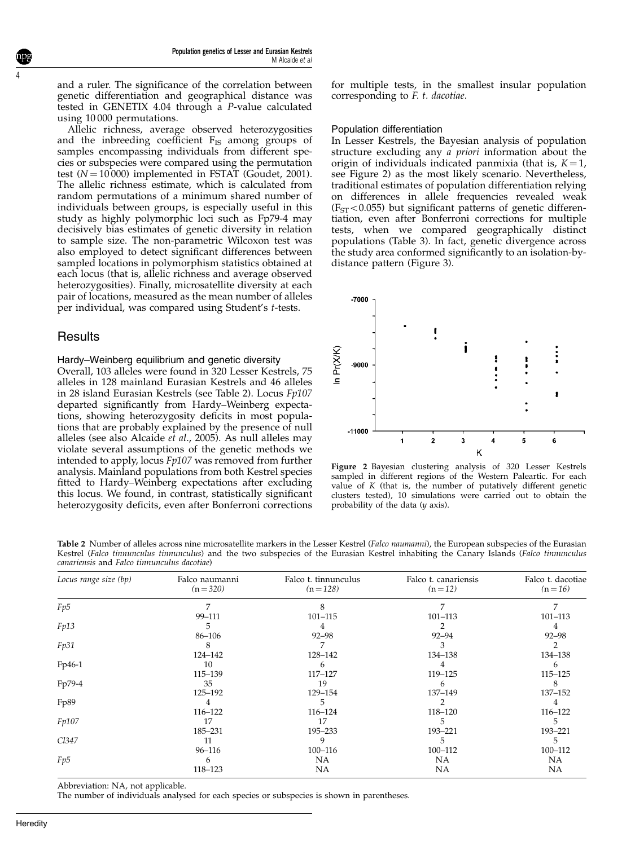and a ruler. The significance of the correlation between genetic differentiation and geographical distance was tested in GENETIX 4.04 through a P-value calculated using 10 000 permutations.

Allelic richness, average observed heterozygosities and the inbreeding coefficient  $F_{IS}$  among groups of samples encompassing individuals from different species or subspecies were compared using the permutation test  $(N = 10000)$  implemented in FSTAT (Goudet, 2001). The allelic richness estimate, which is calculated from random permutations of a minimum shared number of individuals between groups, is especially useful in this study as highly polymorphic loci such as Fp79-4 may decisively bias estimates of genetic diversity in relation to sample size. The non-parametric Wilcoxon test was also employed to detect significant differences between sampled locations in polymorphism statistics obtained at each locus (that is, allelic richness and average observed heterozygosities). Finally, microsatellite diversity at each pair of locations, measured as the mean number of alleles per individual, was compared using Student's t-tests.

## **Results**

4

#### Hardy–Weinberg equilibrium and genetic diversity

Overall, 103 alleles were found in 320 Lesser Kestrels, 75 alleles in 128 mainland Eurasian Kestrels and 46 alleles in 28 island Eurasian Kestrels (see Table 2). Locus Fp107 departed significantly from Hardy–Weinberg expectations, showing heterozygosity deficits in most populations that are probably explained by the presence of null alleles (see also Alcaide et al., 2005). As null alleles may violate several assumptions of the genetic methods we intended to apply, locus Fp107 was removed from further analysis. Mainland populations from both Kestrel species fitted to Hardy–Weinberg expectations after excluding this locus. We found, in contrast, statistically significant heterozygosity deficits, even after Bonferroni corrections

for multiple tests, in the smallest insular population corresponding to F. t. dacotiae.

#### Population differentiation

In Lesser Kestrels, the Bayesian analysis of population structure excluding any a priori information about the origin of individuals indicated panmixia (that is,  $K = 1$ , see Figure 2) as the most likely scenario. Nevertheless, traditional estimates of population differentiation relying on differences in allele frequencies revealed weak  $(F<sub>ST</sub> < 0.055)$  but significant patterns of genetic differentiation, even after Bonferroni corrections for multiple tests, when we compared geographically distinct populations (Table 3). In fact, genetic divergence across the study area conformed significantly to an isolation-bydistance pattern (Figure 3).



Figure 2 Bayesian clustering analysis of 320 Lesser Kestrels sampled in different regions of the Western Paleartic. For each value of  $K$  (that is, the number of putatively different genetic clusters tested), 10 simulations were carried out to obtain the probability of the data (y axis).

|  | Table 2 Number of alleles across nine microsatellite markers in the Lesser Kestrel ( <i>Falco naumanni</i> ), the European subspecies of the Eurasian |  |  |  |  |  |  |  |
|--|-------------------------------------------------------------------------------------------------------------------------------------------------------|--|--|--|--|--|--|--|
|  | Kestrel (Falco tinnunculus tinnunculus) and the two subspecies of the Eurasian Kestrel inhabiting the Canary Islands (Falco tinnunculus               |  |  |  |  |  |  |  |
|  | canariensis and Falco tinnunculus dacotiae)                                                                                                           |  |  |  |  |  |  |  |

| Locus range size (bp) | Falco naumanni<br>$(n=320)$ | Falco t. tinnunculus<br>$(n=128)$ | Falco t. canariensis<br>$(n=12)$ | Falco t. dacotiae<br>$(n=16)$ |
|-----------------------|-----------------------------|-----------------------------------|----------------------------------|-------------------------------|
| Fp5                   |                             | 8                                 |                                  |                               |
|                       | 99–111                      | 101-115                           | 101-113                          | 101-113                       |
| Fp13                  | 5                           |                                   |                                  |                               |
|                       | 86–106                      | $92 - 98$                         | $92 - 94$                        | $92 - 98$                     |
| Fp31                  |                             |                                   |                                  |                               |
|                       | 124-142                     | 128-142                           | 134-138                          | 134-138                       |
| Fp46-1                | 10                          | 6                                 | 4                                | 6                             |
|                       | 115-139                     | 117-127                           | 119-125                          | 115-125                       |
| Fp79-4                | 35                          | 19                                | b                                | 8                             |
|                       | 125–192                     | 129–154                           | 137-149                          | 137-152                       |
| Fp89                  |                             | 5                                 |                                  | 4                             |
|                       | 116-122                     | $116 - 124$                       | 118-120                          | 116-122                       |
| Fp107                 | 17                          | 17                                | ٠,                               | 5                             |
|                       | 185–231                     | 195–233                           | 193-221                          | 193-221                       |
| Cl347                 | 11                          | g                                 |                                  | 5                             |
|                       | 96–116                      | 100-116                           | 100-112                          | 100-112                       |
| Fp5                   | 6                           | NA.                               | NA                               | NA                            |
|                       | 118-123                     | NA                                | NA                               | NA                            |

Abbreviation: NA, not applicable.

The number of individuals analysed for each species or subspecies is shown in parentheses.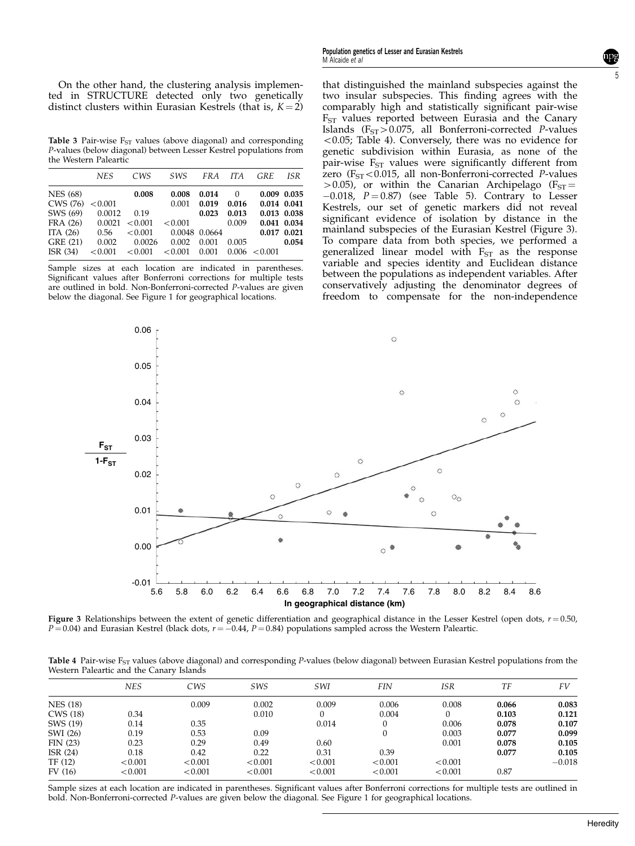Table 3 Pair-wise  $F_{ST}$  values (above diagonal) and corresponding P-values (below diagonal) between Lesser Kestrel populations from the Western Paleartic

|                 | <b>NES</b> | CWS     | SWS     | FRA    | <b>ITA</b> | <b>GRE</b> | ISR         |
|-----------------|------------|---------|---------|--------|------------|------------|-------------|
| <b>NES</b> (68) |            | 0.008   | 0.008   | 0.014  | $\Omega$   |            | 0.009 0.035 |
| CWS (76)        | < 0.001    |         | 0.001   | 0.019  | 0.016      |            | 0.014 0.041 |
| SWS (69)        | 0.0012     | 0.19    |         | 0.023  | 0.013      |            | 0.013 0.038 |
| FRA (26)        | 0.0021     | < 0.001 | < 0.001 |        | 0.009      |            | 0.041 0.034 |
| ITA $(26)$      | 0.56       | < 0.001 | 0.0048  | 0.0664 |            |            | 0.017 0.021 |
| GRE (21)        | 0.002      | 0.0026  | 0.002   | 0.001  | 0.005      |            | 0.054       |
| ISR(34)         | < 0.001    | < 0.001 | < 0.001 | 0.001  | 0.006      | < 0.001    |             |
|                 |            |         |         |        |            |            |             |

Sample sizes at each location are indicated in parentheses. Significant values after Bonferroni corrections for multiple tests are outlined in bold. Non-Bonferroni-corrected P-values are given below the diagonal. See Figure 1 for geographical locations.

that distinguished the mainland subspecies against the two insular subspecies. This finding agrees with the comparably high and statistically significant pair-wise  $F<sub>ST</sub>$  values reported between Eurasia and the Canary Islands ( $F_{ST}$ >0.075, all Bonferroni-corrected P-values  $<$  0.05; Table 4). Conversely, there was no evidence for genetic subdivision within Eurasia, as none of the pair-wise  $F_{ST}$  values were significantly different from zero ( $F_{ST}$ <0.015, all non-Bonferroni-corrected P-values  $>$ 0.05), or within the Canarian Archipelago (F<sub>ST</sub> $=$  $-0.018$ ,  $P = 0.87$ ) (see Table 5). Contrary to Lesser Kestrels, our set of genetic markers did not reveal significant evidence of isolation by distance in the mainland subspecies of the Eurasian Kestrel (Figure 3). To compare data from both species, we performed a generalized linear model with  $F_{ST}$  as the response variable and species identity and Euclidean distance between the populations as independent variables. After conservatively adjusting the denominator degrees of freedom to compensate for the non-independence



Figure 3 Relationships between the extent of genetic differentiation and geographical distance in the Lesser Kestrel (open dots,  $r = 0.50$ ,  $P = 0.04$ ) and Eurasian Kestrel (black dots,  $r = -0.44$ ,  $P = 0.84$ ) populations sampled across the Western Paleartic.

Table 4 Pair-wise  $F_{ST}$  values (above diagonal) and corresponding P-values (below diagonal) between Eurasian Kestrel populations from the Western Paleartic and the Canary Islands

|                 | <b>NES</b> | CWS     | <b>SWS</b> | <b>SWI</b> | <b>FIN</b> | ISR      | TF    | FV       |
|-----------------|------------|---------|------------|------------|------------|----------|-------|----------|
| <b>NES</b> (18) |            | 0.009   | 0.002      | 0.009      | 0.006      | 0.008    | 0.066 | 0.083    |
| CWS (18)        | 0.34       |         | 0.010      | $\theta$   | 0.004      | $\Omega$ | 0.103 | 0.121    |
| SWS (19)        | 0.14       | 0.35    |            | 0.014      |            | 0.006    | 0.078 | 0.107    |
| SWI (26)        | 0.19       | 0.53    | 0.09       |            |            | 0.003    | 0.077 | 0.099    |
| FIN(23)         | 0.23       | 0.29    | 0.49       | 0.60       |            | 0.001    | 0.078 | 0.105    |
| ISR $(24)$      | 0.18       | 0.42    | 0.22       | 0.31       | 0.39       |          | 0.077 | 0.105    |
| TF (12)         | < 0.001    | < 0.001 | < 0.001    | < 0.001    | < 0.001    | < 0.001  |       | $-0.018$ |
| FV(16)          | < 0.001    | < 0.001 | < 0.001    | < 0.001    | < 0.001    | < 0.001  | 0.87  |          |

Sample sizes at each location are indicated in parentheses. Significant values after Bonferroni corrections for multiple tests are outlined in bold. Non-Bonferroni-corrected P-values are given below the diagonal. See Figure 1 for geographical locations.

5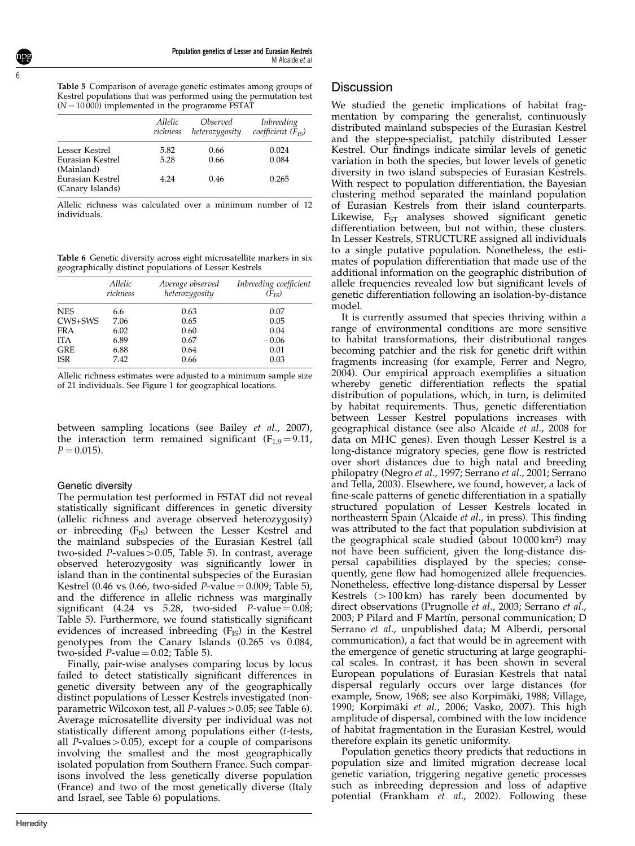6

Table 5 Comparison of average genetic estimates among groups of Kestrel populations that was performed using the permutation test  $(N = 10000)$  implemented in the programme FSTAT

|                                                    | Allelic  | Observed       | Inbreeding             |
|----------------------------------------------------|----------|----------------|------------------------|
|                                                    | richness | heterozygosity | coefficient $(F_{IS})$ |
| Lesser Kestrel                                     | 5.82     | 0.66           | 0.024                  |
| Eurasian Kestrel                                   | 5.28     | 0.66           | 0.084                  |
| (Mainland)<br>Eurasian Kestrel<br>(Canary Islands) | 4.24     | 0.46           | 0.265                  |

Allelic richness was calculated over a minimum number of 12 individuals.

Table 6 Genetic diversity across eight microsatellite markers in six geographically distinct populations of Lesser Kestrels

|            | <i>Allelic</i><br>richness | Average observed<br>heterozygosity | Inbreeding coefficient<br>$(F_{IS})$ |
|------------|----------------------------|------------------------------------|--------------------------------------|
| <b>NES</b> | 6.6                        | 0.63                               | 0.07                                 |
| CWS+SWS    | 7.06                       | 0.65                               | 0.05                                 |
| <b>FRA</b> | 6.02                       | 0.60                               | 0.04                                 |
| <b>ITA</b> | 6.89                       | 0.67                               | $-0.06$                              |
| <b>GRE</b> | 6.88                       | 0.64                               | 0.01                                 |
| <b>ISR</b> | 7.42                       | 0.66                               | 0.03                                 |

Allelic richness estimates were adjusted to a minimum sample size of 21 individuals. See Figure 1 for geographical locations.

between sampling locations (see Bailey et al., 2007), the interaction term remained significant  $(F_{1,9} = 9.11)$ ,  $P = 0.015$ .

#### Genetic diversity

The permutation test performed in FSTAT did not reveal statistically significant differences in genetic diversity (allelic richness and average observed heterozygosity) or inbreeding  $(F_{IS})$  between the Lesser Kestrel and the mainland subspecies of the Eurasian Kestrel (all two-sided  $P$ -values > 0.05, Table 5). In contrast, average observed heterozygosity was significantly lower in island than in the continental subspecies of the Eurasian Kestrel (0.46 vs 0.66, two-sided  $P$ -value = 0.009; Table 5), and the difference in allelic richness was marginally significant (4.24 vs 5.28, two-sided  $P$ -value = 0.08; Table 5). Furthermore, we found statistically significant evidences of increased inbreeding  $(F_{IS})$  in the Kestrel genotypes from the Canary Islands (0.265 vs 0.084, two-sided *P*-value  $= 0.02$ ; Table 5).

Finally, pair-wise analyses comparing locus by locus failed to detect statistically significant differences in genetic diversity between any of the geographically distinct populations of Lesser Kestrels investigated (nonparametric Wilcoxon test, all  $P$ -values > 0.05; see Table 6). Average microsatellite diversity per individual was not statistically different among populations either (t-tests, all P-values $>0.05$ ), except for a couple of comparisons involving the smallest and the most geographically isolated population from Southern France. Such comparisons involved the less genetically diverse population (France) and two of the most genetically diverse (Italy and Israel, see Table 6) populations.

### **Discussion**

We studied the genetic implications of habitat fragmentation by comparing the generalist, continuously distributed mainland subspecies of the Eurasian Kestrel and the steppe-specialist, patchily distributed Lesser Kestrel. Our findings indicate similar levels of genetic variation in both the species, but lower levels of genetic diversity in two island subspecies of Eurasian Kestrels. With respect to population differentiation, the Bayesian clustering method separated the mainland population of Eurasian Kestrels from their island counterparts. Likewise,  $F_{ST}$  analyses showed significant genetic differentiation between, but not within, these clusters. In Lesser Kestrels, STRUCTURE assigned all individuals to a single putative population. Nonetheless, the estimates of population differentiation that made use of the additional information on the geographic distribution of allele frequencies revealed low but significant levels of genetic differentiation following an isolation-by-distance model.

It is currently assumed that species thriving within a range of environmental conditions are more sensitive to habitat transformations, their distributional ranges becoming patchier and the risk for genetic drift within fragments increasing (for example, Ferrer and Negro, 2004). Our empirical approach exemplifies a situation whereby genetic differentiation reflects the spatial distribution of populations, which, in turn, is delimited by habitat requirements. Thus, genetic differentiation between Lesser Kestrel populations increases with geographical distance (see also Alcaide et al., 2008 for data on MHC genes). Even though Lesser Kestrel is a long-distance migratory species, gene flow is restricted over short distances due to high natal and breeding philopatry (Negro et al., 1997; Serrano et al., 2001; Serrano and Tella, 2003). Elsewhere, we found, however, a lack of fine-scale patterns of genetic differentiation in a spatially structured population of Lesser Kestrels located in northeastern Spain (Alcaide et al., in press). This finding was attributed to the fact that population subdivision at the geographical scale studied (about 10 000 km<sup>2</sup> ) may not have been sufficient, given the long-distance dispersal capabilities displayed by the species; consequently, gene flow had homogenized allele frequencies. Nonetheless, effective long-distance dispersal by Lesser Kestrels  $(>100 \text{ km})$  has rarely been documented by direct observations (Prugnolle et al., 2003; Serrano et al., 2003; P Pilard and F Martín, personal communication; D Serrano et al., unpublished data; M Alberdi, personal communication), a fact that would be in agreement with the emergence of genetic structuring at large geographical scales. In contrast, it has been shown in several European populations of Eurasian Kestrels that natal dispersal regularly occurs over large distances (for example, Snow, 1968; see also Korpimäki, 1988; Village, 1990; Korpimäki et al., 2006; Vasko, 2007). This high amplitude of dispersal, combined with the low incidence of habitat fragmentation in the Eurasian Kestrel, would therefore explain its genetic uniformity.

Population genetics theory predicts that reductions in population size and limited migration decrease local genetic variation, triggering negative genetic processes such as inbreeding depression and loss of adaptive potential (Frankham et al., 2002). Following these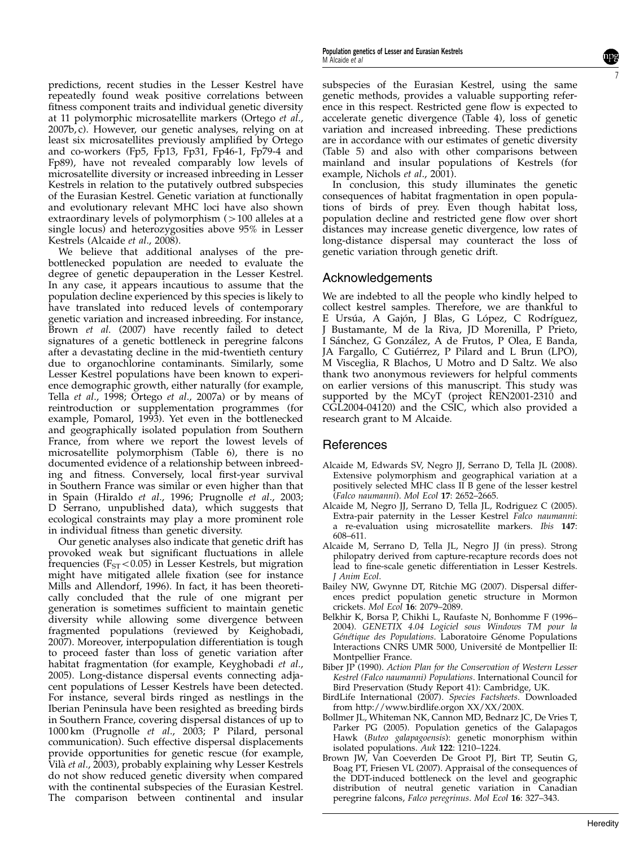predictions, recent studies in the Lesser Kestrel have repeatedly found weak positive correlations between fitness component traits and individual genetic diversity at 11 polymorphic microsatellite markers (Ortego et al., 2007b, c). However, our genetic analyses, relying on at least six microsatellites previously amplified by Ortego and co-workers (Fp5, Fp13, Fp31, Fp46-1, Fp79-4 and Fp89), have not revealed comparably low levels of microsatellite diversity or increased inbreeding in Lesser Kestrels in relation to the putatively outbred subspecies of the Eurasian Kestrel. Genetic variation at functionally and evolutionary relevant MHC loci have also shown extraordinary levels of polymorphism  $(>100$  alleles at a single locus) and heterozygosities above 95% in Lesser Kestrels (Alcaide et al., 2008).

We believe that additional analyses of the prebottlenecked population are needed to evaluate the degree of genetic depauperation in the Lesser Kestrel. In any case, it appears incautious to assume that the population decline experienced by this species is likely to have translated into reduced levels of contemporary genetic variation and increased inbreeding. For instance, Brown et al. (2007) have recently failed to detect signatures of a genetic bottleneck in peregrine falcons after a devastating decline in the mid-twentieth century due to organochlorine contaminants. Similarly, some Lesser Kestrel populations have been known to experience demographic growth, either naturally (for example, Tella et al., 1998; Ortego et al., 2007a) or by means of reintroduction or supplementation programmes (for example, Pomarol, 1993). Yet even in the bottlenecked and geographically isolated population from Southern France, from where we report the lowest levels of microsatellite polymorphism (Table 6), there is no documented evidence of a relationship between inbreeding and fitness. Conversely, local first-year survival in Southern France was similar or even higher than that in Spain (Hiraldo et al., 1996; Prugnolle et al., 2003; D Serrano, unpublished data), which suggests that ecological constraints may play a more prominent role in individual fitness than genetic diversity.

Our genetic analyses also indicate that genetic drift has provoked weak but significant fluctuations in allele frequencies ( $F_{ST}$ <0.05) in Lesser Kestrels, but migration might have mitigated allele fixation (see for instance Mills and Allendorf, 1996). In fact, it has been theoretically concluded that the rule of one migrant per generation is sometimes sufficient to maintain genetic diversity while allowing some divergence between fragmented populations (reviewed by Keighobadi, 2007). Moreover, interpopulation differentiation is tough to proceed faster than loss of genetic variation after habitat fragmentation (for example, Keyghobadi et al., 2005). Long-distance dispersal events connecting adjacent populations of Lesser Kestrels have been detected. For instance, several birds ringed as nestlings in the Iberian Peninsula have been resighted as breeding birds in Southern France, covering dispersal distances of up to 1000 km (Prugnolle et al., 2003; P Pilard, personal communication). Such effective dispersal displacements provide opportunities for genetic rescue (for example, Vilà et al., 2003), probably explaining why Lesser Kestrels do not show reduced genetic diversity when compared with the continental subspecies of the Eurasian Kestrel. The comparison between continental and insular subspecies of the Eurasian Kestrel, using the same genetic methods, provides a valuable supporting reference in this respect. Restricted gene flow is expected to accelerate genetic divergence (Table 4), loss of genetic variation and increased inbreeding. These predictions are in accordance with our estimates of genetic diversity (Table 5) and also with other comparisons between mainland and insular populations of Kestrels (for example, Nichols et al., 2001).

In conclusion, this study illuminates the genetic consequences of habitat fragmentation in open populations of birds of prey. Even though habitat loss, population decline and restricted gene flow over short distances may increase genetic divergence, low rates of long-distance dispersal may counteract the loss of genetic variation through genetic drift.

## Acknowledgements

We are indebted to all the people who kindly helped to collect kestrel samples. Therefore, we are thankful to E Ursúa, A Gajón, J Blas, G López, C Rodríguez, J Bustamante, M de la Riva, JD Morenilla, P Prieto, I Sánchez, G González, A de Frutos, P Olea, E Banda, JA Fargallo, C Gutiérrez, P Pilard and L Brun (LPO), M Visceglia, R Blachos, U Motro and D Saltz. We also thank two anonymous reviewers for helpful comments on earlier versions of this manuscript. This study was supported by the MCyT (project REN2001-2310 and CGL2004-04120) and the CSIC, which also provided a research grant to M Alcaide.

## References

- Alcaide M, Edwards SV, Negro JJ, Serrano D, Tella JL (2008). Extensive polymorphism and geographical variation at a positively selected MHC class II B gene of the lesser kestrel (Falco naumanni). Mol Ecol 17: 2652–2665.
- Alcaide M, Negro JJ, Serrano D, Tella JL, Rodriguez C (2005). Extra-pair paternity in the Lesser Kestrel Falco naumanni: a re-evaluation using microsatellite markers. Ibis 147: 608–611.
- Alcaide M, Serrano D, Tella JL, Negro JJ (in press). Strong philopatry derived from capture-recapture records does not lead to fine-scale genetic differentiation in Lesser Kestrels. J Anim Ecol.
- Bailey NW, Gwynne DT, Ritchie MG (2007). Dispersal differences predict population genetic structure in Mormon crickets. Mol Ecol 16: 2079–2089.
- Belkhir K, Borsa P, Chikhi L, Raufaste N, Bonhomme F (1996– 2004). GENETIX 4.04 Logiciel sous Windows TM pour la Génétique des Populations. Laboratoire Génome Populations Interactions CNRS UMR 5000, Université de Montpellier II: Montpellier France.
- Biber JP (1990). Action Plan for the Conservation of Western Lesser Kestrel (Falco naumanni) Populations. International Council for Bird Preservation (Study Report 41): Cambridge, UK.
- BirdLife International (2007). Species Factsheets. Downloaded from http://www.birdlife.orgon XX/XX/200X.
- Bollmer JL, Whiteman NK, Cannon MD, Bednarz JC, De Vries T, Parker PG (2005). Population genetics of the Galapagos Hawk (Buteo galapagoensis): genetic monorphism within isolated populations. Auk 122: 1210-1224.
- Brown JW, Van Coeverden De Groot PJ, Birt TP, Seutin G, Boag PT, Friesen VL (2007). Appraisal of the consequences of the DDT-induced bottleneck on the level and geographic distribution of neutral genetic variation in Canadian peregrine falcons, Falco peregrinus. Mol Ecol 16: 327–343.

7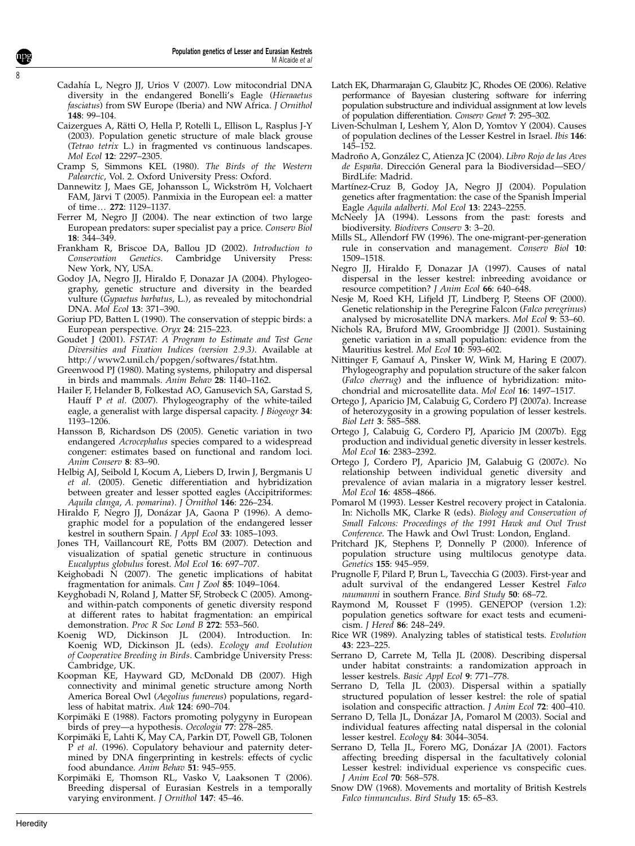- Cadahía L, Negro JJ, Urios V (2007). Low mitocondrial DNA diversity in the endangered Bonelli's Eagle (Hieraaetus fasciatus) from SW Europe (Iberia) and NW Africa. J Ornithol 148: 99–104.
- Caizergues A, Rätti O, Hella P, Rotelli L, Ellison L, Rasplus J-Y (2003). Population genetic structure of male black grouse (Tetrao tetrix L.) in fragmented vs continuous landscapes. Mol Ecol 12: 2297–2305.
- Cramp S, Simmons KEL (1980). The Birds of the Western Palearctic, Vol. 2. Oxford University Press: Oxford.
- Dannewitz J, Maes GE, Johansson L, Wickström H, Volchaert FAM, Järvi T (2005). Panmixia in the European eel: a matter of time... 272: 1129-1137.
- Ferrer M, Negro JJ (2004). The near extinction of two large European predators: super specialist pay a price. Conserv Biol 18: 344–349.
- Frankham R, Briscoe DA, Ballou JD (2002). Introduction to Conservation Genetics. Cambridge University Press: New York, NY, USA.
- Godoy JA, Negro JJ, Hiraldo F, Donazar JA (2004). Phylogeography, genetic structure and diversity in the bearded vulture (Gypaetus barbatus, L.), as revealed by mitochondrial DNA. Mol Ecol 13: 371–390.
- Goriup PD, Batten L (1990). The conservation of steppic birds: a European perspective. Oryx 24: 215–223.
- Goudet J (2001). FSTAT: A Program to Estimate and Test Gene Diversities and Fixation Indices (version 2.9.3). Available at http://www2.unil.ch/popgen/softwares/fstat.htm.
- Greenwood PJ (1980). Mating systems, philopatry and dispersal in birds and mammals. Anim Behav 28: 1140–1162.
- Hailer F, Helander B, Folkestad AO, Ganusevich SA, Garstad S, Hauff P et al. (2007). Phylogeography of the white-tailed eagle, a generalist with large dispersal capacity. J Biogeogr 34: 1193–1206.
- Hansson B, Richardson DS (2005). Genetic variation in two endangered Acrocephalus species compared to a widespread congener: estimates based on functional and random loci. Anim Conserv 8: 83–90.
- Helbig AJ, Seibold I, Kocum A, Liebers D, Irwin J, Bergmanis U et al. (2005). Genetic differentiation and hybridization between greater and lesser spotted eagles (Accipitriformes: Aquila clanga, A. pomarina). J Ornithol 146: 226–234.
- Hiraldo F, Negro JJ, Donázar JA, Gaona P (1996). A demographic model for a population of the endangered lesser kestrel in southern Spain. J Appl Ecol 33: 1085–1093.
- Jones TH, Vaillancourt RE, Potts BM (2007). Detection and visualization of spatial genetic structure in continuous Eucalyptus globulus forest. Mol Ecol 16: 697–707.
- Keighobadi N (2007). The genetic implications of habitat fragmentation for animals. Can J Zool 85: 1049–1064.
- Keyghobadi N, Roland J, Matter SF, Strobeck C (2005). Amongand within-patch components of genetic diversity respond at different rates to habitat fragmentation: an empirical demonstration. Proc R Soc Lond B 272: 553–560.
- Koenig WD, Dickinson JL (2004). Introduction. In: Koenig WD, Dickinson JL (eds). Ecology and Evolution of Cooperative Breeding in Birds. Cambridge University Press: Cambridge, UK.
- Koopman KE, Hayward GD, McDonald DB (2007). High connectivity and minimal genetic structure among North America Boreal Owl (Aegolius funereus) populations, regardless of habitat matrix. Auk 124: 690–704.
- Korpimäki E (1988). Factors promoting polygyny in European birds of prey—a hypothesis. Oecologia 77: 278-285.
- Korpimäki E, Lahti K, May CA, Parkin DT, Powell GB, Tolonen P et al. (1996). Copulatory behaviour and paternity determined by DNA fingerprinting in kestrels: effects of cyclic food abundance. Anim Behav 51: 945–955.
- Korpimäki E, Thomson RL, Vasko V, Laaksonen T (2006). Breeding dispersal of Eurasian Kestrels in a temporally varying environment. J Ornithol 147: 45–46.
- Latch EK, Dharmarajan G, Glaubitz JC, Rhodes OE (2006). Relative performance of Bayesian clustering software for inferring population substructure and individual assignment at low levels of population differentiation. Conserv Genet 7: 295–302.
- Liven-Schulman I, Leshem Y, Alon D, Yomtov Y (2004). Causes of population declines of the Lesser Kestrel in Israel. Ibis 146: 145–152.
- Madroño A, González C, Atienza JC (2004). Libro Rojo de las Aves de España. Dirección General para la Biodiversidad-SEO/ BirdLife: Madrid.
- Martínez-Cruz B, Godoy JA, Negro JJ (2004). Population genetics after fragmentation: the case of the Spanish Imperial Eagle Aquila adalberti. Mol Ecol 13: 2243–2255.
- McNeely JA (1994). Lessons from the past: forests and biodiversity. Biodivers Conserv 3: 3–20.
- Mills SL, Allendorf FW (1996). The one-migrant-per-generation rule in conservation and management. Conserv Biol 10: 1509–1518.
- Negro JJ, Hiraldo F, Donazar JA (1997). Causes of natal dispersal in the lesser kestrel: inbreeding avoidance or resource competition? J Anim Ecol 66: 640-648.
- Nesje M, Roed KH, Lifjeld JT, Lindberg P, Steens OF (2000). Genetic relationship in the Peregrine Falcon (Falco peregrinus) analysed by microsatellite DNA markers. Mol Ecol 9: 53–60.
- Nichols RA, Bruford MW, Groombridge JJ (2001). Sustaining genetic variation in a small population: evidence from the Mauritius kestrel. Mol Ecol 10: 593-602.
- Nittinger F, Gamauf A, Pinsker W, Wink M, Haring E (2007). Phylogeography and population structure of the saker falcon (Falco cherrug) and the influence of hybridization: mitochondrial and microsatellite data. Mol Ecol 16: 1497–1517.
- Ortego J, Aparicio JM, Calabuig G, Cordero PJ (2007a). Increase of heterozygosity in a growing population of lesser kestrels. Biol Lett 3: 585–588.
- Ortego J, Calabuig G, Cordero PJ, Aparicio JM (2007b). Egg production and individual genetic diversity in lesser kestrels. Mol Ecol 16: 2383–2392.
- Ortego J, Cordero PJ, Aparicio JM, Galabuig G (2007c). No relationship between individual genetic diversity and prevalence of avian malaria in a migratory lesser kestrel. Mol Ecol 16: 4858–4866.
- Pomarol M (1993). Lesser Kestrel recovery project in Catalonia. In: Nicholls MK, Clarke R (eds). Biology and Conservation of Small Falcons: Proceedings of the 1991 Hawk and Owl Trust Conference. The Hawk and Owl Trust: London, England.
- Pritchard JK, Stephens P, Donnelly P (2000). Inference of population structure using multilocus genotype data. Genetics 155: 945–959.
- Prugnolle F, Pilard P, Brun L, Tavecchia G (2003). First-year and adult survival of the endangered Lesser Kestrel Falco naumanni in southern France. Bird Study 50: 68-72.
- Raymond M, Rousset F (1995). GENEPOP (version 1.2): population genetics software for exact tests and ecumenicism. J Hered 86: 248–249.
- Rice WR (1989). Analyzing tables of statistical tests. Evolution 43: 223–225.
- Serrano D, Carrete M, Tella JL (2008). Describing dispersal under habitat constraints: a randomization approach in lesser kestrels. Basic Appl Ecol 9: 771–778.
- Serrano D, Tella JL (2003). Dispersal within a spatially structured population of lesser kestrel: the role of spatial isolation and conspecific attraction. *J Anim Ecol* 72: 400-410.
- Serrano D, Tella JL, Donázar JA, Pomarol M (2003). Social and individual features affecting natal dispersal in the colonial lesser kestrel. Ecology 84: 3044–3054.
- Serrano D, Tella JL, Forero MG, Donázar JA (2001). Factors affecting breeding dispersal in the facultatively colonial Lesser kestrel: individual experience vs conspecific cues. J Anim Ecol 70: 568–578.
- Snow DW (1968). Movements and mortality of British Kestrels Falco tinnunculus. Bird Study 15: 65–83.